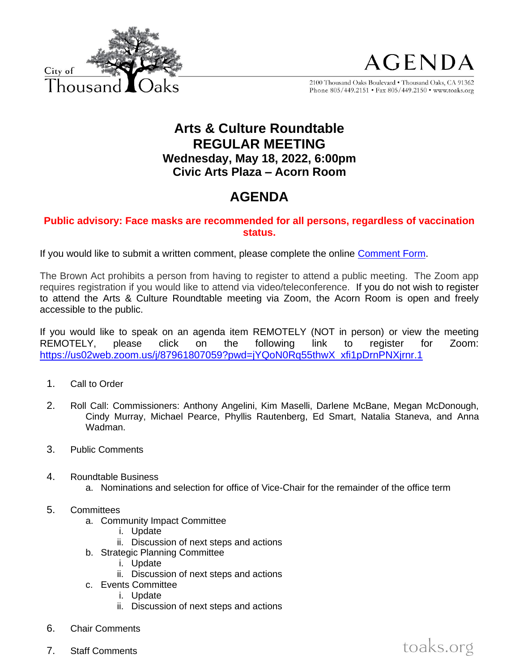



toaks.org

2100 Thousand Oaks Boulevard . Thousand Oaks, CA 91362 Phone 805/449.2151 • Fax 805/449.2150 • www.toaks.org

## **Arts & Culture Roundtable REGULAR MEETING Wednesday, May 18, 2022, 6:00pm Civic Arts Plaza – Acorn Room**

## **AGENDA**

## **Public advisory: Face masks are recommended for all persons, regardless of vaccination status.**

If you would like to submit a written comment, please complete the online [Comment Form.](https://forms.office.com/Pages/ResponsePage.aspx?id=8C-MGj-qX0ScrXR38aQKbLIWCihvbU1Gk8B8L9tD3xZUMUg4SFdHQjZWUk9YR0JKMlQ3QVJNTU80WS4u)

The Brown Act prohibits a person from having to register to attend a public meeting. The Zoom app requires registration if you would like to attend via video/teleconference. If you do not wish to register to attend the Arts & Culture Roundtable meeting via Zoom, the Acorn Room is open and freely accessible to the public.

If you would like to speak on an agenda item REMOTELY (NOT in person) or view the meeting REMOTELY, please click on the following link to register for Zoom: [https://us02web.zoom.us/j/87961807059?pwd=jYQoN0Rq55thwX\\_xfi1pDrnPNXjrnr.1](https://us02web.zoom.us/j/87961807059?pwd=jYQoN0Rq55thwX_xfi1pDrnPNXjrnr.1)

- 1. Call to Order
- 2. Roll Call: Commissioners: Anthony Angelini, Kim Maselli, Darlene McBane, Megan McDonough, Cindy Murray, Michael Pearce, Phyllis Rautenberg, Ed Smart, Natalia Staneva, and Anna Wadman.
- 3. Public Comments
- 4. Roundtable Business
	- a. Nominations and selection for office of Vice-Chair for the remainder of the office term
- 5. Committees
	- a. Community Impact Committee
		- i. Update
		- ii. Discussion of next steps and actions
	- b. Strategic Planning Committee
		- i. Update
		- ii. Discussion of next steps and actions
	- c. Events Committee
		- i. Update
		- ii. Discussion of next steps and actions
- 6. Chair Comments
- 7. Staff Comments